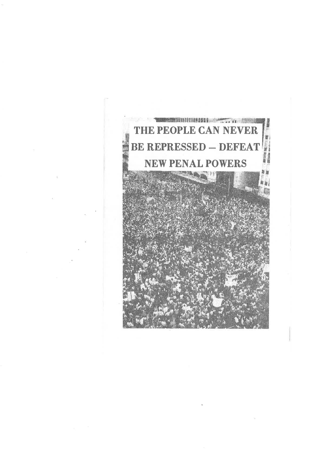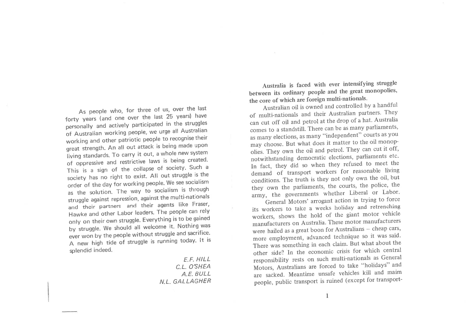As people who, for three of us, over the last forty years (and one over the last 25 years) have personally and actively participated in the struggles of Australian working people, we urge all Australian working and other patriotic people to recognise their great strength. An all out attack is being made upon living standards. To carry it out, a whole new system of oppressive and restrictive laws is being created. This is a sign of the collapse of society. Such a society has no right to exist. All out struggle is the order of the day for working people. We see socialism as the solution. The way to socialism is through struggle against repression, against the multi-nationals and their partners and their agents like Fraser, Hawke and other Labor leaders. The people can rely only on their own struggle. Everything is to be gained by struggle. We should all welcome it. Nothing was ever won by the people without struggle and sacrifice. A new high tide of struggle is running today. It is splendid indeed.

> $E.E. HILL$ C.L. O'SHEA A.E. BULL NI GALLAGHER

Australia is faced with ever intensifying struggle between its ordinary people and the great monopolies, the core of which are foreign multi-nationals.

Australian oil is owned and controlled by a handful of multi-nationals and their Australian partners. They can cut off oil and petrol at the drop of a hat. Australia comes to a standstill. There can be as many parliaments, as many elections, as many "independent" courts as you may choose. But what does it matter to the oil monopolies. They own the oil and petrol. They can cut it off, notwithstanding democratic elections, parliaments etc. In fact, they did so when they refused to meet the demand of transport workers for reasonable living conditions. The truth is they not only own the oil, but they own the parliaments, the courts, the police, the army, the governments whether Liberal or Labor.

General Motors' arrogant action in trying to force its workers to take a weeks holiday and retrenching workers, shows the hold of the giant motor vehicle manufacturers on Australia. These motor manufacturers were hailed as a great boon for Australians - cheap cars, more employment, advanced technique so it was said. There was something in each claim. But what about the other side? In the economic crisis for which central responsibility rests on such multi-nationals as General Motors, Australians are forced to take "holidays" and are sacked. Meantime unsafe vehicles kill and maim people, public transport is ruined (except for transport-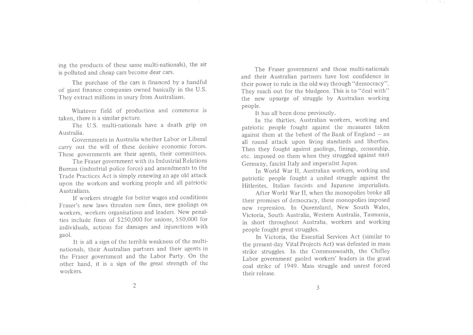ing the products of these sarne multi-nationals), the air is polluted and cheap cars become dear cars.

The purchase of the cars is financed by a handful of giant finance companies owned basically in the U.S. They extract millions in usury from Australians.

Whatever field of production and commerce istaken, there is a similar picture.

The U.S. multi-nationals have a death grip on Australia

 Governments in Australia whether Labor or Liberalcarry out the will of these decisive economic forces. These governments are their agents, their committees.

The Fraser government with its Industrial Relations Bureau (industrial police force) and amendments to the Trade Practices Act is simply renewing an age old attack upon the workers and working people and all patrioticAustralians.

 lf workers struggle for better wages and conditions Fraser's new laws threaten new fines, new gaolings on workers, workers organisations and leaders. New penalties include fines of \$250,000 for unions, \$50,000 for individuals, actions for damages and injunctions withgaol.

It is all a sign of the terrible weakness of the multinationals, their Australian partners and their agents in the Fraser government and the Labor Party. On the other hand, it is a sign of the great strength of theworkers.

The Fraser government and those multi-nationals and their Australian partners have lost confidence in their power to rule in the old way through'"democracy".They reach out for the bludgeon. This is to "deal with" the new upsurge of struggle by Australian working people.

 $\sim$ 

It has all been done previously.

 ln the thirties, Australian workers, working and patriotic people fought against the measures takenagainst them at the behest of the Bank of England  $-$  an all round attack upon living standards and liberties. Then they fought against gaolings, finings, censorship, etc. imposed on them when they struggled against nazi Germany, fascist Italy and imperialist Japan.

In World War II, Australian workers, working and patriotic people fought a united struggle against theHitlerites, Italian fascists and Japanese imperialists.

After World War II, when the monopolies broke all their promises of democracy, these monopolies imposednew repression. In Queensland, New South Wales Victoria, South Australia, Western Australia, Tasmania,in short throughout Australia, workers and workingpeople fought great struggles.

 In Victoria, the Essential Services Act (similar to the present-day Vital Projects Act) was defeated in massstrike struggles. In the Commonwealth, the Chifley Labor government gaoled workers' leaders in the great ooal strike of 1949. Mass struggle and unrest forcedtheir release.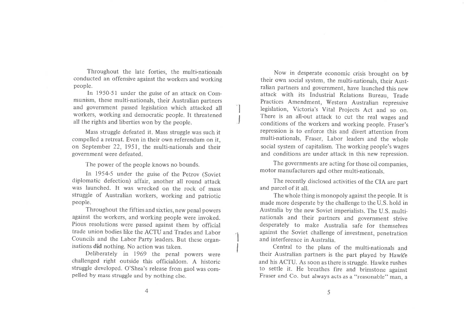Throughout the late forties, the multi-nationals conducted an offensive against the workers and workingpeople.

In 1950-51 under the guise of an attack on Communism, these multi-nationals, their Australian partners and government passed legislation which attacked allworkers, working and democratic people. It threatened all the rights and liberties won by the people.

**In the contract of the contract of the contract of the contract of the contract of the contract of the contract** 

Mass struggle defeated it. Mass struggle was such it compelled a retreat. Even in their own referendum on it, on September 22, 1951, the multi-nationals and theirgovernment were defeated.

The power of the people knows no bounds.

In 1954-5 under the guise of the Petrov (Soviet diplomatic defection) affair, another all round attack was launched. It was wrecked on the rock of mass struggle of Australian workers, working and patrioticpeople.

Throughout the fifties and sixties, new penal powers against the workers, and working people were invoked. Pious resolutions were passed against them by official trade union bodies like the ACTU and Trades and Labor Councils and the Labor Party leaders. But these organisations did nothing. No action was taken.

Deliberately in 1969 the penal powers were challenged right outside this officialdom. A historic struggle developed. O'Shea's release from gaol was compelled by mass struggle and by nothing else.

Now in desperate economic crisis brought on  $b\dot{\tau}$  their own social system, the multi-nationals, their Australian partners and government, have launched this new attack with its Industrial Relations Bureau, Trade Practices Amendment, Western Australian repressive legislation, Victoria's Vital Projects Act and so on.There is an all-out attack to cut the real wages and conditions of the workers and working people. Fraser's repression is to enforce this and divert attention from multi-nationals, Fraser, Labor leaders and the wholesocial system of capitalism. The working people's wages and conditions are under attack in this new repression.

The governments are acting for those oil companies,motor manufacturers and other multi-nationals.

The recently disclosed activities of the CIA are partand parcel of it all.

The whole thing is monopoly against the people. It is made more desperate by the challenge to the U.S. hold in Australia by the new Soviet imperialists. The U.S. multinationals and their partners and government strivedesperately to make Australia safe for themselves against the Soviet challenge of investment, penetrationand interference in Australia.

Central to the plans of the multi-nationals andtheir Australian partners is the part played by Hawke and his ACTU. As soon as there is struggle. Hawke rushes to settle it. He breathes fire and brimstone againstFraser and Co. but always acts as a "reasonable" man, a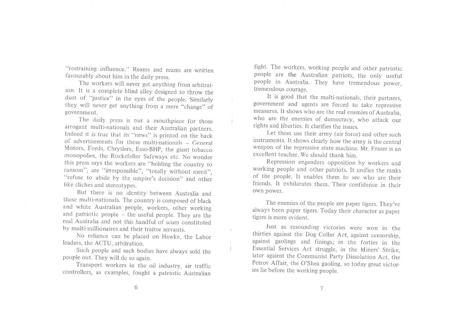"restraining influence." Reams and reams are written favourably about him in the daily press.

 The workers will never get anything from arbitrat\_ion. It is a complete blind alley designed to throw the dust of "justice" in the eyes of the people. Similarly they will never get anything from a mere "change" of government.

The daily press is but a mouthpiece for those arrogant multi-nationals and their Australian partners. Indeed it is true that its "news" is printed on the back of advertisements for these multi-nationals  $-$  General Motors, Fords, Chryslers, Esso-BHp, the giant tobacco monopolies, the Rockefeller Safeways etc, No wonderthis press says the workers are "holding the country to ransom", are "irresponsible", "totally without merit", "refuse to abide by the umpire's decision" and other like cliches and stereotypes.

 But there is no identity between Australia and these multi-nationals. The country is composed of blackand white Australian people, workers, other working and patriotic people - the useful people. They are thereal Australia and not this handful of scum constituted by multi-millionaires and their traitor servants.

 No reliance can be placed on Hawke, the Laborleaders, the ACTU, arbitration.

s.

 Such people and such bodies have always sold thepeople out. They will do so again.

 Transport workers in the oil industry, air trafficcontrollers, as examples, fought a patriotic Australian

fight. The workers, working people and other patriotic people are the Australian patriots, the only useful people in Australia. They have tremendous power, tremendous courage.

 It is good that the multi-nationals, their partners, government and agents are forced to take repressivemeasures. It shows who are the real enemies of Australia who are the enemies of democracy, who attack ourrights and liberties. It clarifies the issues.

 Let them use their army (air force) and other such instruments. It shows clearly how the army is the central weapon of the repressive state machine. Mr. Fraser is anexcellent teacher. We should thank him.

 Repression engenders opposition by workers and working people and other patriots. It unifies the ranks of the people. It enables them to see who are their friends. It exhilarates them. Their confidence in theirown power.

The enemies of the people are paper tigers. They've always been paper tigers. Today their character as papertigers is more evident.

Just as resounding victories were won in the thirties against the Dog Collar Act, against censorship, against gaolings and finings; in the forties in theEssential Services Act struggle, in the Miners' Strike, later against the Communist Party Dissolution Act, the Petrov Affair, the O'Shea gaoling, so today great victories lie before the working people.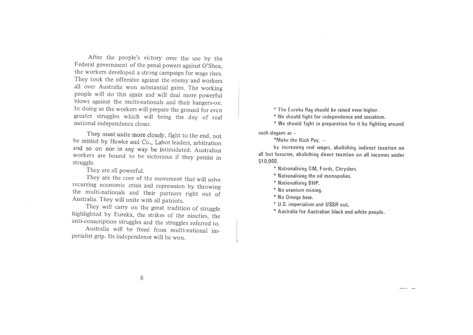After the people's victory over the use by the Federal government of the penal powers against O'Shea, the workers developed a strong campaign for wage rises. They took the offensive against the enemy and workers all over Australia won substantial gains. The working people will do this again and will deal more powerful blows against the multi-nationals and their hangers-on. In doing so the workers will prepare the ground for even greater struggles which will bring the day of real national independence closer.

They must unite more closely, fight to the end, not be misled by Hawke and Co., Labor leaders, arbitration and so on nor in any way be intimidated. Australian workers are bound to be victorious if they persist in struggle.

They are all powerful.

They are the core of the movement that will solve recurring economic crisis and represssion by throwing the multi-nationals and their partners right out of Australia. They will unite with all patriots.

They will carry on the great tradition of struggle highlighted by Eureka, the strikes of the nineties, the anti-conscription struggles and the struggles referred to.

Australia will be freed from multi-national imperialist grip. Its independence will be won.

\* The Eureka flag should be raised even higher.

\* We should fight for independence and socialism.

\* We should fight in preparation for it by fighting around

such slogans as -

\*Make the Rich Pay. --

by increasing real wages, abolishing indirect taxation on all but luxuries, abolishing direct taxation on all incomes under \$10,000.

\* Nationalising GM, Fords, Chryslers.

\* Nationalising the oil monopolies.

- \* Nationalising BHP.
- \* No uranium mining.
- \* No Omega base.
- \* U.S. imperialism and USSR out.
- \* Australia for Australian black and white people.